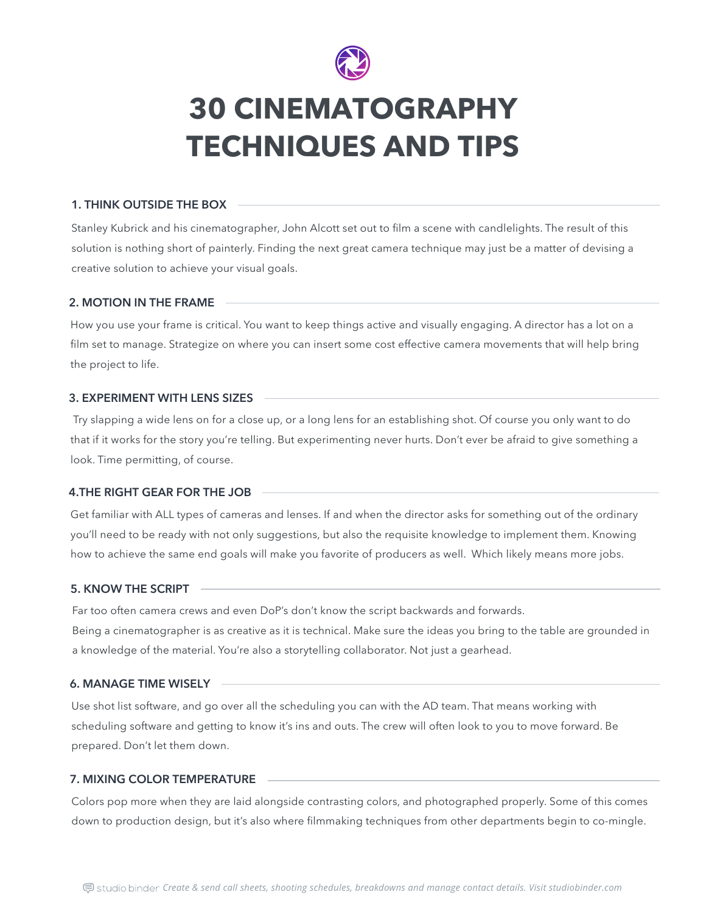Stanley Kubrick and his cinematographer, John Alcott set out to film a scene with candlelights. The result of this solution is nothing short of painterly. Finding the next great camera technique may just be a matter of devising a creative solution to achieve your visual goals.

# **1. THINK OUTSIDE THE BOX**

How you use your frame is critical. You want to keep things active and visually engaging. A director has a lot on a film set to manage. Strategize on where you can insert some cost effective camera movements that will help bring the project to life.

#### **2. MOTION IN THE FRAME**

 Try slapping a wide lens on for a close up, or a long lens for an establishing shot. Of course you only want to do that if it works for the story you're telling. But experimenting never hurts. Don't ever be afraid to give something a look. Time permitting, of course.

# **3. EXPERIMENT WITH LENS SIZES**

Get familiar with ALL types of cameras and lenses. If and when the director asks for something out of the ordinary you'll need to be ready with not only suggestions, but also the requisite knowledge to implement them. Knowing how to achieve the same end goals will make you favorite of producers as well. Which likely means more jobs.

#### **4.THE RIGHT GEAR FOR THE JOB**

Far too often camera crews and even DoP's don't know the script backwards and forwards.

Being a cinematographer is as creative as it is technical. Make sure the ideas you bring to the table are grounded in a knowledge of the material. You're also a storytelling collaborator. Not just a gearhead.

# **5. KNOW THE SCRIPT**

Use shot list software, and go over all the scheduling you can with the AD team. That means working with scheduling software and getting to know it's ins and outs. The crew will often look to you to move forward. Be prepared. Don't let them down.

#### **6. MANAGE TIME WISELY**

Colors pop more when they are laid alongside contrasting colors, and photographed properly. Some of this comes down to production design, but it's also where filmmaking techniques from other departments begin to co-mingle.

the control of the control of the control of the control of the control of the control of

#### **7. MIXING COLOR TEMPERATURE**



# **30 CINEMATOGRAPHY TECHNIQUES AND TIPS**

*Create & send call sheets, shooting schedules, breakdowns and manage contact details. Visit studiobinder.com*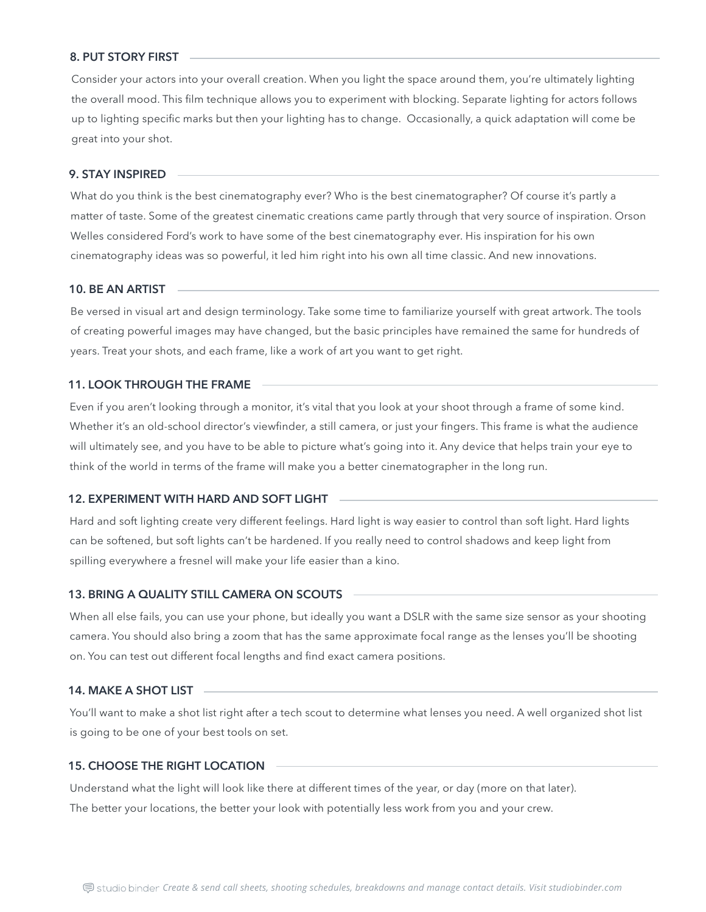What do you think is the best cinematography ever? Who is the best cinematographer? Of course it's partly a matter of taste. Some of the greatest cinematic creations came partly through that very source of inspiration. Orson Welles considered Ford's work to have some of the best cinematography ever. His inspiration for his own cinematography ideas was so powerful, it led him right into his own all time classic. And new innovations.

#### **9. STAY INSPIRED**

Be versed in visual art and design terminology. Take some time to familiarize yourself with great artwork. The tools of creating powerful images may have changed, but the basic principles have remained the same for hundreds of years. Treat your shots, and each frame, like a work of art you want to get right.

#### **10. BE AN ARTIST**

Even if you aren't looking through a monitor, it's vital that you look at your shoot through a frame of some kind. Whether it's an old-school director's viewfinder, a still camera, or just your fingers. This frame is what the audience will ultimately see, and you have to be able to picture what's going into it. Any device that helps train your eye to think of the world in terms of the frame will make you a better cinematographer in the long run.

# **11. LOOK THROUGH THE FRAME**

Hard and soft lighting create very different feelings. Hard light is way easier to control than soft light. Hard lights can be softened, but soft lights can't be hardened. If you really need to control shadows and keep light from spilling everywhere a fresnel will make your life easier than a kino.

# **12. EXPERIMENT WITH HARD AND SOFT LIGHT**

When all else fails, you can use your phone, but ideally you want a DSLR with the same size sensor as your shooting camera. You should also bring a zoom that has the same approximate focal range as the lenses you'll be shooting on. You can test out different focal lengths and find exact camera positions.

# **13. BRING A QUALITY STILL CAMERA ON SCOUTS**

You'll want to make a shot list right after a tech scout to determine what lenses you need. A well organized shot list is going to be one of your best tools on set.

# **14. MAKE A SHOT LIST**

Understand what the light will look like there at different times of the year, or day (more on that later).

The better your locations, the better your look with potentially less work from you and your crew.

# **15. CHOOSE THE RIGHT LOCATION**

Consider your actors into your overall creation. When you light the space around them, you're ultimately lighting the overall mood. This film technique allows you to experiment with blocking. Separate lighting for actors follows up to lighting specific marks but then your lighting has to change. Occasionally, a quick adaptation will come be great into your shot.

#### **8. PUT STORY FIRST**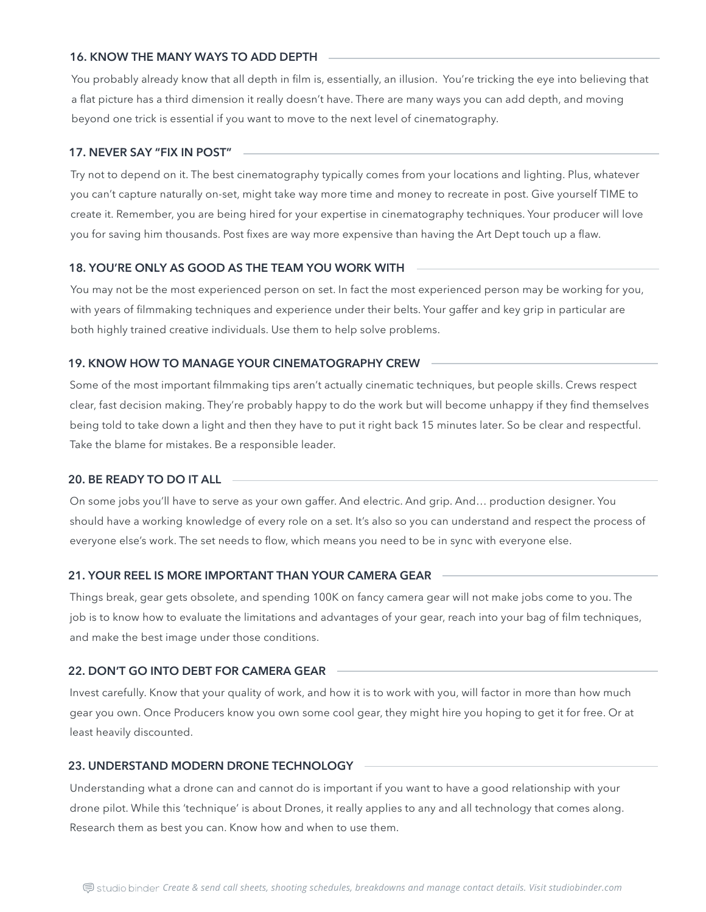Try not to depend on it. The best cinematography typically comes from your locations and lighting. Plus, whatever you can't capture naturally on-set, might take way more time and money to recreate in post. Give yourself TIME to create it. Remember, you are being hired for your expertise in cinematography techniques. Your producer will love you for saving him thousands. Post fixes are way more expensive than having the Art Dept touch up a flaw.

#### **17. NEVER SAY "FIX IN POST"**

You may not be the most experienced person on set. In fact the most experienced person may be working for you, with years of filmmaking techniques and experience under their belts. Your gaffer and key grip in particular are both highly trained creative individuals. Use them to help solve problems.

#### **18. YOU'RE ONLY AS GOOD AS THE TEAM YOU WORK WITH**

Some of the most important filmmaking tips aren't actually cinematic techniques, but people skills. Crews respect clear, fast decision making. They're probably happy to do the work but will become unhappy if they find themselves being told to take down a light and then they have to put it right back 15 minutes later. So be clear and respectful. Take the blame for mistakes. Be a responsible leader.

# **19. KNOW HOW TO MANAGE YOUR CINEMATOGRAPHY CREW**

On some jobs you'll have to serve as your own gaffer. And electric. And grip. And… production designer. You should have a working knowledge of every role on a set. It's also so you can understand and respect the process of everyone else's work. The set needs to flow, which means you need to be in sync with everyone else.

# **20. BE READY TO DO IT ALL**

Things break, gear gets obsolete, and spending 100K on fancy camera gear will not make jobs come to you. The job is to know how to evaluate the limitations and advantages of your gear, reach into your bag of film techniques, and make the best image under those conditions.

#### **21. YOUR REEL IS MORE IMPORTANT THAN YOUR CAMERA GEAR**

Invest carefully. Know that your quality of work, and how it is to work with you, will factor in more than how much gear you own. Once Producers know you own some cool gear, they might hire you hoping to get it for free. Or at least heavily discounted.

# **22. DON'T GO INTO DEBT FOR CAMERA GEAR**

Understanding what a drone can and cannot do is important if you want to have a good relationship with your drone pilot. While this 'technique' is about Drones, it really applies to any and all technology that comes along. Research them as best you can. Know how and when to use them.

# **23. UNDERSTAND MODERN DRONE TECHNOLOGY**

You probably already know that all depth in film is, essentially, an illusion. You're tricking the eye into believing that a flat picture has a third dimension it really doesn't have. There are many ways you can add depth, and moving beyond one trick is essential if you want to move to the next level of cinematography.

# **16. KNOW THE MANY WAYS TO ADD DEPTH**